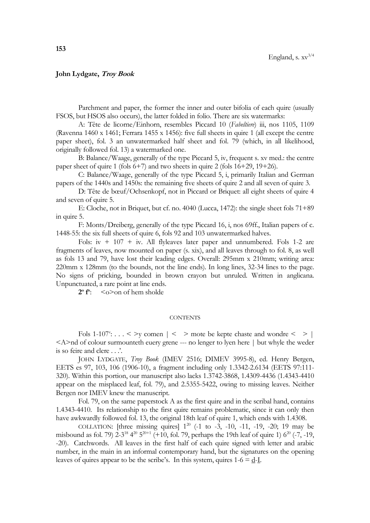## **John Lydgate, Troy Book**

Parchment and paper, the former the inner and outer bifolia of each quire (usually FSOS, but HSOS also occurs), the latter folded in folio. There are six watermarks:

A: Tête de licorne/Einhorn, resembles Piccard 10 (*Fabeltiere*) iii, nos 1105, 1109 (Ravenna 1460 x 1461; Ferrara 1455 x 1456): five full sheets in quire 1 (all except the centre paper sheet), fol. 3 an unwatermarked half sheet and fol. 79 (which, in all likelihood, originally followed fol. 13) a watermarked one.

B: Balance/Waage, generally of the type Piccard 5, iv, frequent s. xv med.: the centre paper sheet of quire 1 (fols  $6+7$ ) and two sheets in quire 2 (fols  $16+29$ ,  $19+26$ ).

C: Balance/Waage, generally of the type Piccard 5, i, primarily Italian and German papers of the 1440s and 1450s: the remaining five sheets of quire 2 and all seven of quire 3.

D: Tête de bœuf/Ochsenkopf, not in Piccard or Briquet: all eight sheets of quire 4 and seven of quire 5.

E: Cloche, not in Briquet, but cf. no. 4040 (Lucca, 1472): the single sheet fols 71+89 in quire 5.

F: Monts/Dreiberg, generally of the type Piccard 16, i, nos 69ff., Italian papers of c. 1448-55: the six full sheets of quire 6, fols 92 and 103 unwatermarked halves.

Fols:  $iv + 107 + iv$ . All flyleaves later paper and unnumbered. Fols 1-2 are fragments of leaves, now mounted on paper (s. xix), and all leaves through to fol. 8, as well as fols 13 and 79, have lost their leading edges. Overall: 295mm x 210mm; writing area: 220mm x 128mm (to the bounds, not the line ends). In long lines, 32-34 lines to the page. No signs of pricking, bounded in brown crayon but unruled. Written in anglicana. Unpunctuated, a rare point at line ends.

**2 o f o** : <o>on of hem sholde

## **CONTENTS**

Fols  $1-107$ ": . . . < >y comen  $| \leq 12$  mote be kepte chaste and wondre < > | <A>nd of colour surmounteth euery grene --- no lenger to lyen here | but whyle the weder is so feire and clere . . .'.

JOHN LYDGATE, *Troy Book* (IMEV 2516; DIMEV 3995-8), ed. Henry Bergen, EETS es 97, 103, 106 (1906-10), a fragment including only 1.3342-2.6134 (EETS 97:111- 320). Within this portion, our manuscript also lacks 1.3742-3868, 1.4309-4436 (1.4343-4410 appear on the misplaced leaf, fol. 79), and 2.5355-5422, owing to missing leaves. Neither Bergen nor IMEV knew the manuscript.

Fol. 79, on the same paperstock A as the first quire and in the scribal hand, contains 1.4343-4410. Its relationship to the first quire remains problematic, since it can only then have awkwardly followed fol. 13, the original 18th leaf of quire 1, which ends with 1.4308.

COLLATION: [three missing quires]  $1^{20}$  (-1 to -3, -10, -11, -19, -20; 19 may be misbound as fol. 79)  $2-3^{18}$   $4^{20}$   $5^{20+1}$  (+10, fol. 79, perhaps the 19th leaf of quire 1)  $6^{20}$  (-7, -19, -20). Catchwords. All leaves in the first half of each quire signed with letter and arabic number, in the main in an informal contemporary hand, but the signatures on the opening leaves of quires appear to be the scribe's. In this system, quires  $1-6 = d$ -I.